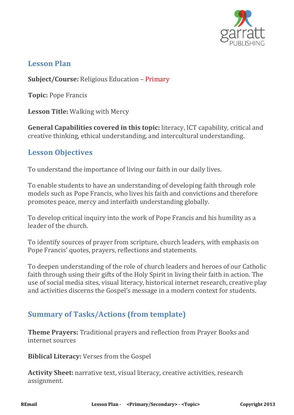

#### **Lesson Plan**

**Subject/Course:** Religious Education – Primary

**Topic:** Pope Francis

**Lesson Title:** Walking with Mercy

**General Capabilities covered in this topic:** literacy, ICT capability, critical and creative thinking, ethical understanding, and intercultural understanding.

### **Lesson Objectives**

To understand the importance of living our faith in our daily lives.

To enable students to have an understanding of developing faith through role models such as Pope Francis, who lives his faith and convictions and therefore promotes peace, mercy and interfaith understanding globally.

To develop critical inquiry into the work of Pope Francis and his humility as a leader of the church.

To identify sources of prayer from scripture, church leaders, with emphasis on Pope Francis' quotes, prayers, reflections and statements.

To deepen understanding of the role of church leaders and heroes of our Catholic faith through using their gifts of the Holy Spirit in living their faith in action. The use of social media sites, visual literacy, historical internet research, creative play and activities discerns the Gospel's message in a modern context for students.

# **Summary of Tasks/Actions (from template)**

**Theme Prayers:** Traditional prayers and reflection from Prayer Books and internet sources

**Biblical Literacy:** Verses from the Gospel

**Activity Sheet:** narrative text, visual literacy, creative activities, research assignment.